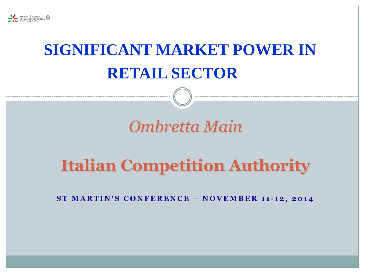

# **SIGNIFICANT MARKET POWER IN RETAIL SECTOR**

## *Ombretta Main*

## **Italian Competition Authority**

**S T M A R T I N ' S C O N F E R E N C E – N O V E M B E R 1 1 - 1 2 , 2 0 1 4**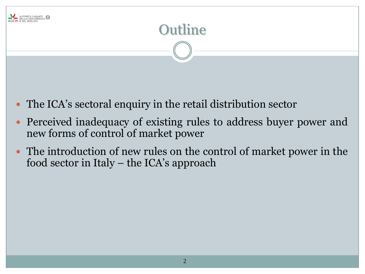

- The ICA's sectoral enquiry in the retail distribution sector
- Perceived inadequacy of existing rules to address buyer power and new forms of control of market power
- The introduction of new rules on the control of market power in the food sector in Italy – the ICA's approach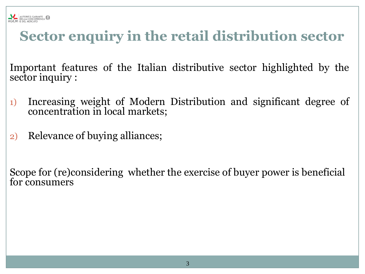

#### **Sector enquiry in the retail distribution sector**

Important features of the Italian distributive sector highlighted by the sector inquiry :

- 1) Increasing weight of Modern Distribution and significant degree of concentration in local markets;
- 2) Relevance of buying alliances;

Scope for (re)considering whether the exercise of buyer power is beneficial for consumers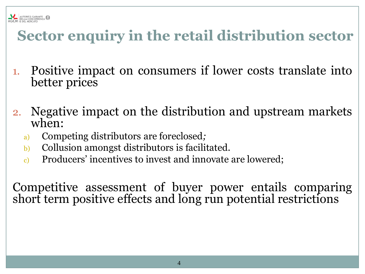

#### **Sector enquiry in the retail distribution sector**

- 1. Positive impact on consumers if lower costs translate into better prices
- 2. Negative impact on the distribution and upstream markets when:
	- a) Competing distributors are foreclosed*;*
	- b) Collusion amongst distributors is facilitated.
	- c) Producers' incentives to invest and innovate are lowered;

Competitive assessment of buyer power entails comparing short term positive effects and long run potential restrictions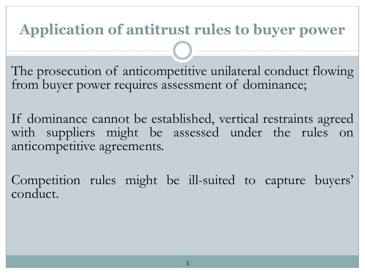### **Application of antitrust rules to buyer power**

The prosecution of anticompetitive unilateral conduct flowing from buyer power requires assessment of dominance;

If dominance cannot be established, vertical restraints agreed with suppliers might be assessed under the rules on anticompetitive agreements.

Competition rules might be ill-suited to capture buyers' conduct.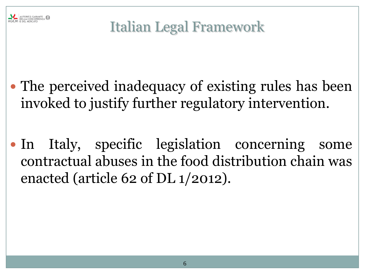

## Italian Legal Framework

- The perceived inadequacy of existing rules has been invoked to justify further regulatory intervention.
- In Italy, specific legislation concerning some contractual abuses in the food distribution chain was enacted (article 62 of DL 1/2012).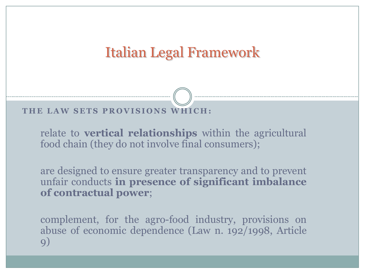#### Italian Legal Framework

**T H E LAW S E T S P R O V I S I O N S W H I C H :**

relate to **vertical relationships** within the agricultural food chain (they do not involve final consumers);

are designed to ensure greater transparency and to prevent unfair conducts **in presence of significant imbalance of contractual power**;

complement, for the agro-food industry, provisions on abuse of economic dependence (Law n. 192/1998, Article 9)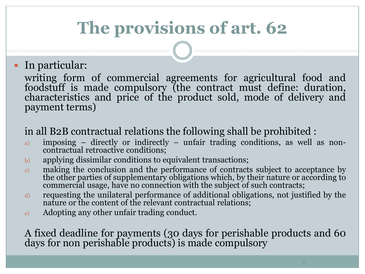## **The provisions of art. 62**

#### In particular:

writing form of commercial agreements for agricultural food and foodstuff is made compulsory (the contract must define: duration, characteristics and price of the product sold, mode of delivery and payment terms)

#### in all B2B contractual relations the following shall be prohibited :

- a) imposing directly or indirectly unfair trading conditions, as well as noncontractual retroactive conditions;
- b) applying dissimilar conditions to equivalent transactions;
- c) making the conclusion and the performance of contracts subject to acceptance by the other parties of supplementary obligations which, by their nature or according to commercial usage, have no connection with the subject of such contracts;
- d) requesting the unilateral performance of additional obligations, not justified by the nature or the content of the relevant contractual relations;
- e) Adopting any other unfair trading conduct.

A fixed deadline for payments (30 days for perishable products and 60 days for non perishable products) is made compulsory